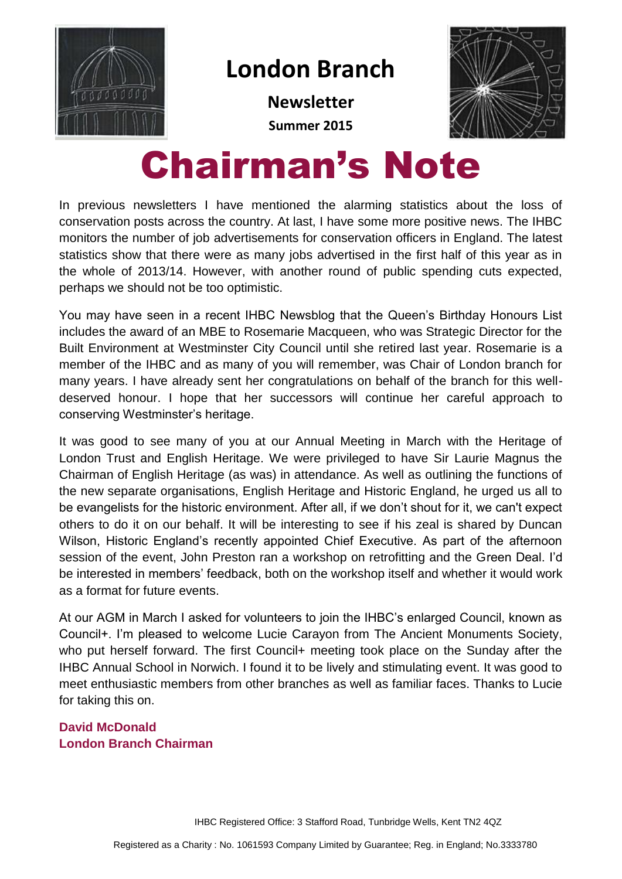

### **London Branch**

**Newsletter Summer 2015**



# Chairman's Note

In previous newsletters I have mentioned the alarming statistics about the loss of conservation posts across the country. At last, I have some more positive news. The IHBC monitors the number of job advertisements for conservation officers in England. The latest statistics show that there were as many jobs advertised in the first half of this year as in the whole of 2013/14. However, with another round of public spending cuts expected, perhaps we should not be too optimistic.

You may have seen in a recent IHBC Newsblog that the Queen's Birthday Honours List includes the award of an MBE to Rosemarie Macqueen, who was Strategic Director for the Built Environment at Westminster City Council until she retired last year. Rosemarie is a member of the IHBC and as many of you will remember, was Chair of London branch for many years. I have already sent her congratulations on behalf of the branch for this welldeserved honour. I hope that her successors will continue her careful approach to conserving Westminster's heritage.

It was good to see many of you at our Annual Meeting in March with the Heritage of London Trust and English Heritage. We were privileged to have Sir Laurie Magnus the Chairman of English Heritage (as was) in attendance. As well as outlining the functions of the new separate organisations, English Heritage and Historic England, he urged us all to be evangelists for the historic environment. After all, if we don't shout for it, we can't expect others to do it on our behalf. It will be interesting to see if his zeal is shared by Duncan Wilson, Historic England's recently appointed Chief Executive. As part of the afternoon session of the event, John Preston ran a workshop on retrofitting and the Green Deal. I'd be interested in members' feedback, both on the workshop itself and whether it would work as a format for future events.

At our AGM in March I asked for volunteers to join the IHBC's enlarged Council, known as Council+. I'm pleased to welcome Lucie Carayon from The Ancient Monuments Society, who put herself forward. The first Council+ meeting took place on the Sunday after the IHBC Annual School in Norwich. I found it to be lively and stimulating event. It was good to meet enthusiastic members from other branches as well as familiar faces. Thanks to Lucie for taking this on.

**David McDonald London Branch Chairman**

IHBC Registered Office: 3 Stafford Road, Tunbridge Wells, Kent TN2 4QZ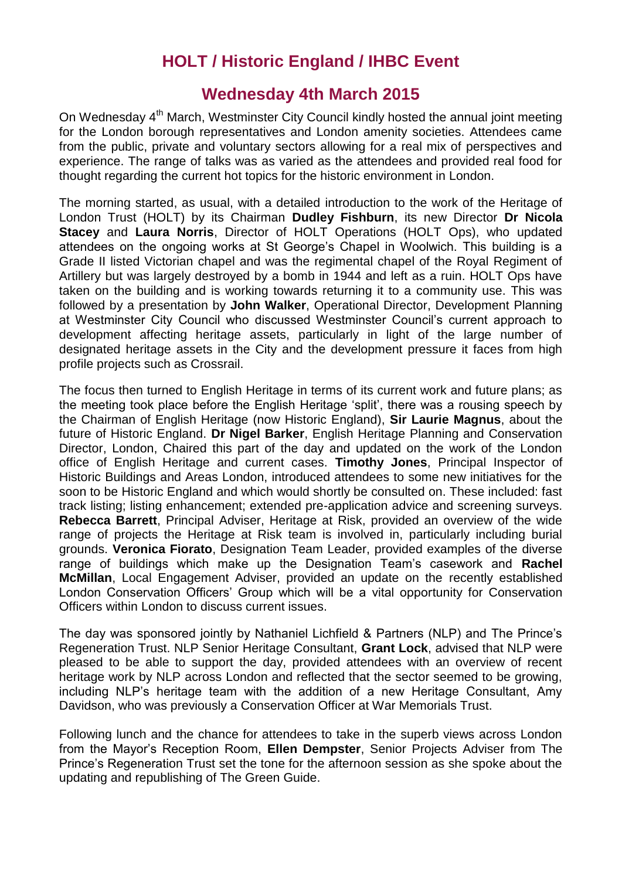### **HOLT / Historic England / IHBC Event**

### **Wednesday 4th March 2015**

On Wednesday 4<sup>th</sup> March, Westminster City Council kindly hosted the annual joint meeting for the London borough representatives and London amenity societies. Attendees came from the public, private and voluntary sectors allowing for a real mix of perspectives and experience. The range of talks was as varied as the attendees and provided real food for thought regarding the current hot topics for the historic environment in London.

The morning started, as usual, with a detailed introduction to the work of the Heritage of London Trust (HOLT) by its Chairman **Dudley Fishburn**, its new Director **Dr Nicola Stacey** and **Laura Norris**, Director of HOLT Operations (HOLT Ops), who updated attendees on the ongoing works at St George's Chapel in Woolwich. This building is a Grade II listed Victorian chapel and was the regimental chapel of the Royal Regiment of Artillery but was largely destroyed by a bomb in 1944 and left as a ruin. HOLT Ops have taken on the building and is working towards returning it to a community use. This was followed by a presentation by **John Walker**, Operational Director, Development Planning at Westminster City Council who discussed Westminster Council's current approach to development affecting heritage assets, particularly in light of the large number of designated heritage assets in the City and the development pressure it faces from high profile projects such as Crossrail.

The focus then turned to English Heritage in terms of its current work and future plans; as the meeting took place before the English Heritage 'split', there was a rousing speech by the Chairman of English Heritage (now Historic England), **Sir Laurie Magnus**, about the future of Historic England. **Dr Nigel Barker**, English Heritage Planning and Conservation Director, London, Chaired this part of the day and updated on the work of the London office of English Heritage and current cases. **Timothy Jones**, Principal Inspector of Historic Buildings and Areas London, introduced attendees to some new initiatives for the soon to be Historic England and which would shortly be consulted on. These included: fast track listing; listing enhancement; extended pre-application advice and screening surveys. **Rebecca Barrett**, Principal Adviser, Heritage at Risk, provided an overview of the wide range of projects the Heritage at Risk team is involved in, particularly including burial grounds. **Veronica Fiorato**, Designation Team Leader, provided examples of the diverse range of buildings which make up the Designation Team's casework and **Rachel McMillan**, Local Engagement Adviser, provided an update on the recently established London Conservation Officers' Group which will be a vital opportunity for Conservation Officers within London to discuss current issues.

The day was sponsored jointly by Nathaniel Lichfield & Partners (NLP) and The Prince's Regeneration Trust. NLP Senior Heritage Consultant, **Grant Lock**, advised that NLP were pleased to be able to support the day, provided attendees with an overview of recent heritage work by NLP across London and reflected that the sector seemed to be growing, including NLP's heritage team with the addition of a new Heritage Consultant, Amy Davidson, who was previously a Conservation Officer at War Memorials Trust.

Following lunch and the chance for attendees to take in the superb views across London from the Mayor's Reception Room, **Ellen Dempster**, Senior Projects Adviser from The Prince's Regeneration Trust set the tone for the afternoon session as she spoke about the updating and republishing of The Green Guide.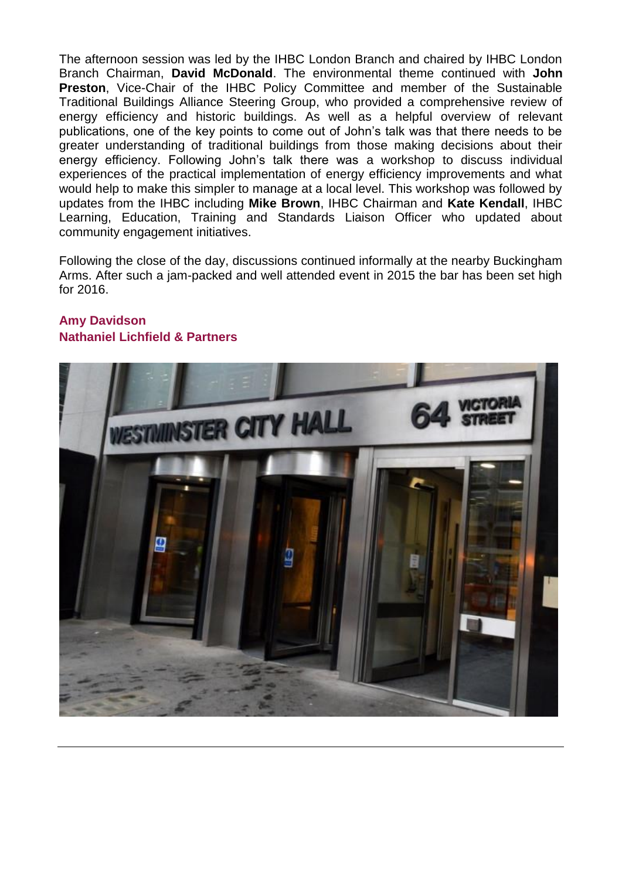The afternoon session was led by the IHBC London Branch and chaired by IHBC London Branch Chairman, **David McDonald**. The environmental theme continued with **John Preston**, Vice-Chair of the IHBC Policy Committee and member of the Sustainable Traditional Buildings Alliance Steering Group, who provided a comprehensive review of energy efficiency and historic buildings. As well as a helpful overview of relevant publications, one of the key points to come out of John's talk was that there needs to be greater understanding of traditional buildings from those making decisions about their energy efficiency. Following John's talk there was a workshop to discuss individual experiences of the practical implementation of energy efficiency improvements and what would help to make this simpler to manage at a local level. This workshop was followed by updates from the IHBC including **Mike Brown**, IHBC Chairman and **Kate Kendall**, IHBC Learning, Education, Training and Standards Liaison Officer who updated about community engagement initiatives.

Following the close of the day, discussions continued informally at the nearby Buckingham Arms. After such a jam-packed and well attended event in 2015 the bar has been set high for 2016.



#### **Amy Davidson Nathaniel Lichfield & Partners**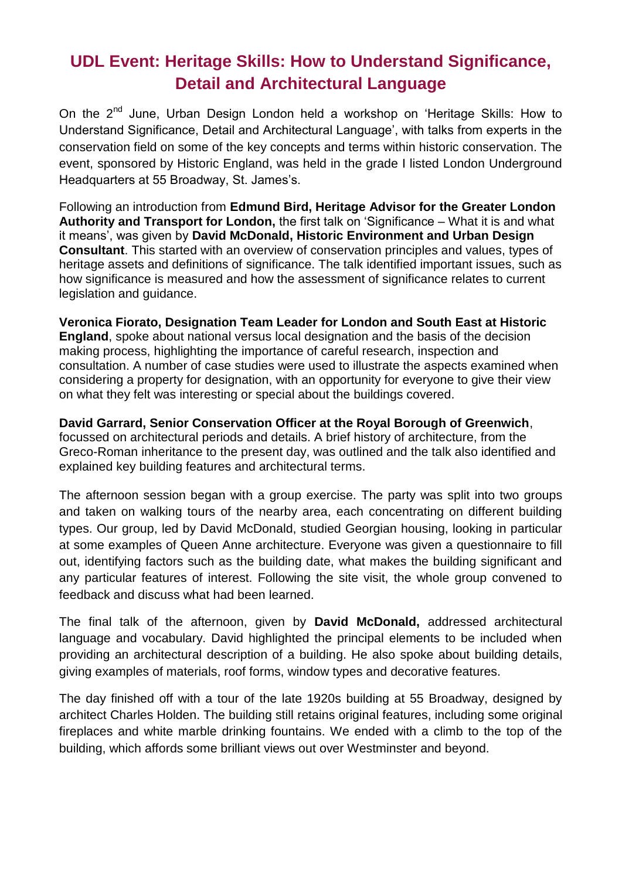### **UDL Event: Heritage Skills: How to Understand Significance, Detail and Architectural Language**

On the 2<sup>nd</sup> June, Urban Design London held a workshop on 'Heritage Skills: How to Understand Significance, Detail and Architectural Language', with talks from experts in the conservation field on some of the key concepts and terms within historic conservation. The event, sponsored by Historic England, was held in the grade I listed London Underground Headquarters at 55 Broadway, St. James's.

Following an introduction from **Edmund Bird, Heritage Advisor for the Greater London Authority and Transport for London,** the first talk on 'Significance – What it is and what it means', was given by **David McDonald, Historic Environment and Urban Design Consultant**. This started with an overview of conservation principles and values, types of heritage assets and definitions of significance. The talk identified important issues, such as how significance is measured and how the assessment of significance relates to current legislation and guidance.

**Veronica Fiorato, Designation Team Leader for London and South East at Historic England**, spoke about national versus local designation and the basis of the decision making process, highlighting the importance of careful research, inspection and consultation. A number of case studies were used to illustrate the aspects examined when considering a property for designation, with an opportunity for everyone to give their view on what they felt was interesting or special about the buildings covered.

**David Garrard, Senior Conservation Officer at the Royal Borough of Greenwich**, focussed on architectural periods and details. A brief history of architecture, from the Greco-Roman inheritance to the present day, was outlined and the talk also identified and explained key building features and architectural terms.

The afternoon session began with a group exercise. The party was split into two groups and taken on walking tours of the nearby area, each concentrating on different building types. Our group, led by David McDonald, studied Georgian housing, looking in particular at some examples of Queen Anne architecture. Everyone was given a questionnaire to fill out, identifying factors such as the building date, what makes the building significant and any particular features of interest. Following the site visit, the whole group convened to feedback and discuss what had been learned.

The final talk of the afternoon, given by **David McDonald,** addressed architectural language and vocabulary. David highlighted the principal elements to be included when providing an architectural description of a building. He also spoke about building details, giving examples of materials, roof forms, window types and decorative features.

The day finished off with a tour of the late 1920s building at 55 Broadway, designed by architect Charles Holden. The building still retains original features, including some original fireplaces and white marble drinking fountains. We ended with a climb to the top of the building, which affords some brilliant views out over Westminster and beyond.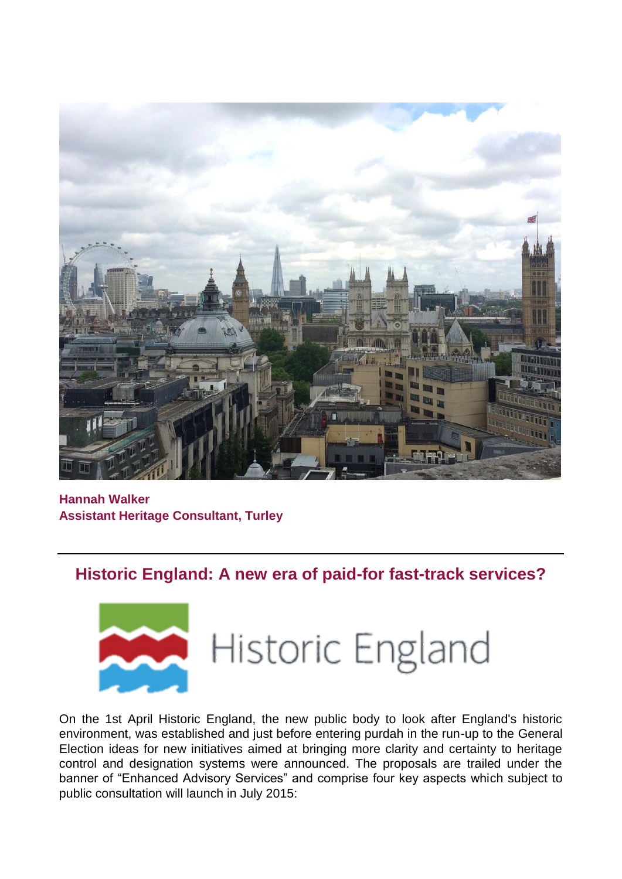

**Hannah Walker Assistant Heritage Consultant, Turley**

### **Historic England: A new era of paid-for fast-track services?**



# Historic England

On the 1st April Historic England, the new public body to look after England's historic environment, was established and just before entering purdah in the run-up to the General Election ideas for new initiatives aimed at bringing more clarity and certainty to heritage control and designation systems were announced. The proposals are trailed under the banner of "Enhanced Advisory Services" and comprise four key aspects which subject to public consultation will launch in July 2015: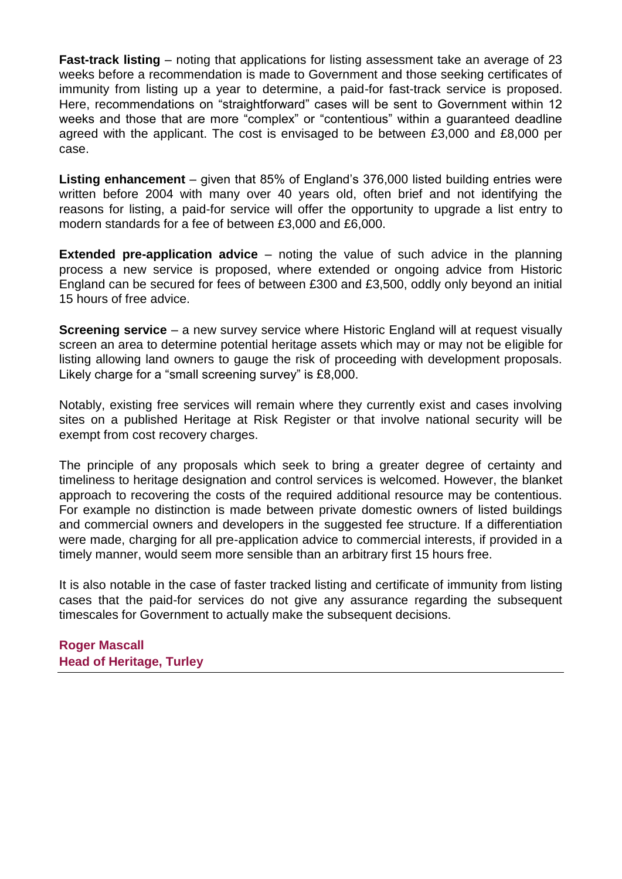**Fast-track listing** – noting that applications for listing assessment take an average of 23 weeks before a recommendation is made to Government and those seeking certificates of immunity from listing up a year to determine, a paid-for fast-track service is proposed. Here, recommendations on "straightforward" cases will be sent to Government within 12 weeks and those that are more "complex" or "contentious" within a guaranteed deadline agreed with the applicant. The cost is envisaged to be between £3,000 and £8,000 per case.

**Listing enhancement** – given that 85% of England's 376,000 listed building entries were written before 2004 with many over 40 years old, often brief and not identifying the reasons for listing, a paid-for service will offer the opportunity to upgrade a list entry to modern standards for a fee of between £3,000 and £6,000.

**Extended pre-application advice** – noting the value of such advice in the planning process a new service is proposed, where extended or ongoing advice from Historic England can be secured for fees of between £300 and £3,500, oddly only beyond an initial 15 hours of free advice.

**Screening service** – a new survey service where Historic England will at request visually screen an area to determine potential heritage assets which may or may not be eligible for listing allowing land owners to gauge the risk of proceeding with development proposals. Likely charge for a "small screening survey" is £8,000.

Notably, existing free services will remain where they currently exist and cases involving sites on a published Heritage at Risk Register or that involve national security will be exempt from cost recovery charges.

The principle of any proposals which seek to bring a greater degree of certainty and timeliness to heritage designation and control services is welcomed. However, the blanket approach to recovering the costs of the required additional resource may be contentious. For example no distinction is made between private domestic owners of listed buildings and commercial owners and developers in the suggested fee structure. If a differentiation were made, charging for all pre-application advice to commercial interests, if provided in a timely manner, would seem more sensible than an arbitrary first 15 hours free.

It is also notable in the case of faster tracked listing and certificate of immunity from listing cases that the paid-for services do not give any assurance regarding the subsequent timescales for Government to actually make the subsequent decisions.

**Roger Mascall Head of Heritage, Turley**